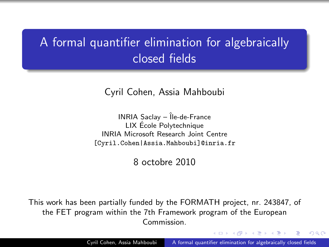# A formal quantifier elimination for algebraically closed fields

Cyril Cohen, Assia Mahboubi

 $INRIA$  Saclay  $-$  Île-de-France LIX Ecole Polytechnique ´ INRIA Microsoft Research Joint Centre [Cyril.Cohen|Assia.Mahboubi]@inria.fr

8 octobre 2010

This work has been partially funded by the FORMATH project, nr. 243847, of the FET program within the 7th Framework program of the European Commission.

 $\mathcal{A}$  and  $\mathcal{A}$  in the set of  $\mathbb{R}^n$ 

<span id="page-0-0"></span>つくへ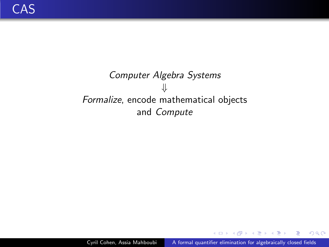## Computer Algebra Systems ⇓ Formalize, encode mathematical objects and Compute

4 17 18

同→ イヨ → イヨ

 $299$ 

∍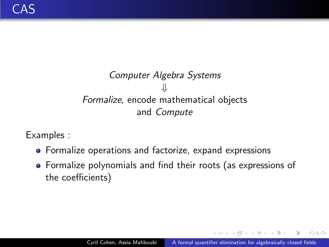## Computer Algebra Systems ⇓ Formalize, encode mathematical objects and Compute

Examples :

- **•** Formalize operations and factorize, expand expressions
- Formalize polynomials and find their roots (as expressions of the coefficients)

 $QQ$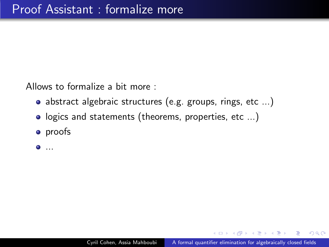Allows to formalize a bit more :

- abstract algebraic structures (e.g. groups, rings, etc ...)
- logics and statements (theorems, properties, etc ...)
- **•** proofs

...

 $2990$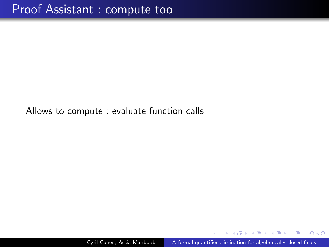Allows to compute : evaluate function calls

 $299$ 

舟 ▶ イヨ ▶ イヨ ▶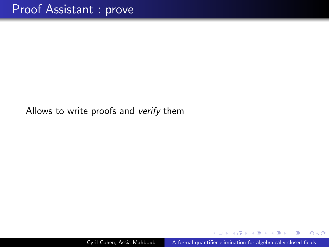Allows to write proofs and verify them

 $\sim$   $\sim$ 

*同* ▶ ィヨ ▶ ィヨ

 $299$ 

∍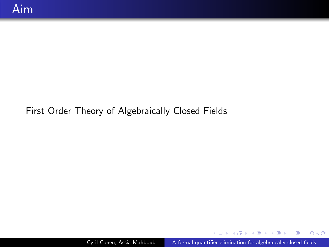#### First Order Theory of Algebraically Closed Fields

メロメメ 御 メメ きょくきょ

 $299$ 

э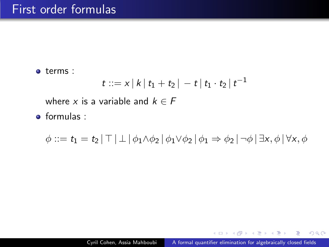terms :

$$
t ::= x | k | t_1 + t_2 | - t | t_1 \cdot t_2 | t^{-1}
$$

where x is a variable and  $k \in F$ 

 $\bullet$  formulas :

 $\phi ::= t_1 = t_2 \mid \top \mid \bot \mid \phi_1 \wedge \phi_2 \mid \phi_1 \vee \phi_2 \mid \phi_1 \Rightarrow \phi_2 \mid \neg \phi \mid \exists x, \phi \mid \forall x, \phi$ 

 $\eta$ a

Ξ.

**K 伺 ▶ K 手 ▶ K 手 ▶**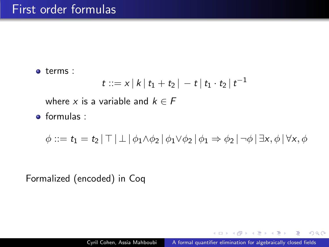terms :

$$
t ::= x | k | t_1 + t_2 | - t | t_1 \cdot t_2 | t^{-1}
$$

where x is a variable and  $k \in F$ 

 $\bullet$  formulas :

 $\phi ::= t_1 = t_2 | \top | \bot | \phi_1 \wedge \phi_2 | \phi_1 \vee \phi_2 | \phi_1 \Rightarrow \phi_2 | \neg \phi | \exists x, \phi | \forall x, \phi$ 

Formalized (encoded) in Coq

 $2990$ 

性

∢何 ▶ ∢ ヨ ▶ ∢ ヨ ▶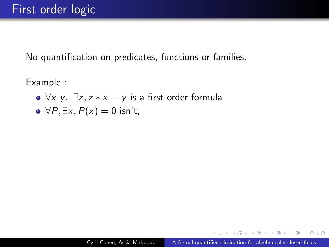No quantification on predicates, functions or families.

Example :

 $\bullet \forall x \, y, \exists z, z \cdot x = y$  is a first order formula

• 
$$
\forall P, \exists x, P(x) = 0
$$
 isn't,

 $\langle \overline{m} \rangle$  and  $\overline{m}$  and  $\overline{m}$  and  $\overline{m}$  and  $\overline{m}$ 

 $QQ$ 

∍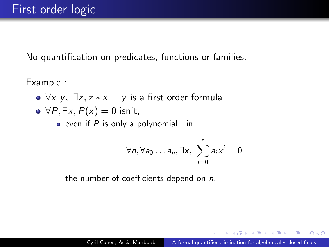No quantification on predicates, functions or families.

Example :

- $\forall x \, y, \exists z, z \cdot x = y$  is a first order formula
- $\rightarrow \forall P, \exists x, P(x) = 0$  isn't,
	- $\bullet$  even if P is only a polynomial : in

$$
\forall n, \forall a_0 \ldots a_n, \exists x, \ \sum_{i=0}^n a_i x^i = 0
$$

the number of coefficients depend on n.

 $2990$ 

伺 ▶ イヨ ▶ イヨ ▶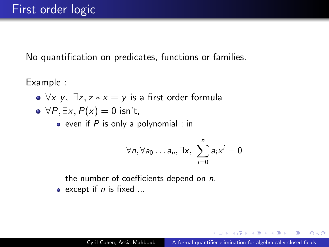No quantification on predicates, functions or families.

Example :

- $\forall x \, y, \exists z, z \cdot x = y$  is a first order formula
- $\rightarrow \forall P, \exists x, P(x) = 0$  isn't,
	- $\bullet$  even if P is only a polynomial : in

$$
\forall n, \forall a_0 \ldots a_n, \exists x, \ \sum_{i=0}^n a_i x^i = 0
$$

the number of coefficients depend on n.

 $\bullet$  except if *n* is fixed ...

 $2990$ 

押 ▶ イヨ ▶ イヨ ▶ .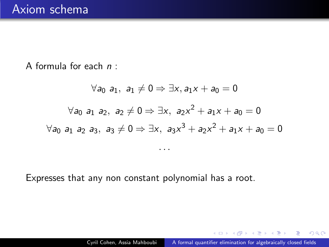A formula for each  $n$ :

$$
\forall a_0 \ a_1, \ a_1 \neq 0 \Rightarrow \exists x, a_1x + a_0 = 0
$$

$$
\forall a_0 \ a_1 \ a_2, \ a_2 \neq 0 \Rightarrow \exists x, \ a_2x^2 + a_1x + a_0 = 0
$$

$$
\forall a_0 \ a_1 \ a_2 \ a_3, \ a_3 \neq 0 \Rightarrow \exists x, \ a_3x^3 + a_2x^2 + a_1x + a_0 = 0
$$

. . .

Expresses that any non constant polynomial has a root.

 $\langle \bigcap \mathbb{P} \rangle$   $\rightarrow$   $\langle \bigcap \mathbb{P} \rangle$   $\rightarrow$   $\langle \bigcap \mathbb{P} \rangle$ 

 $299$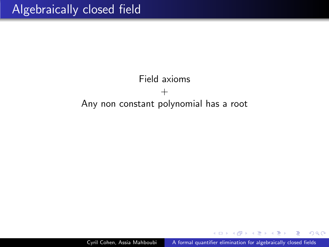## Field axioms  $+$ Any non constant polynomial has a root

 $299$ 

舟 ▶ イヨ ▶ イヨ ▶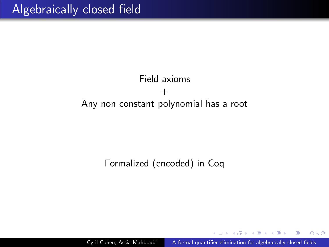### Field axioms  $^{+}$ Any non constant polynomial has a root

#### Formalized (encoded) in Coq

Cyril Cohen, Assia Mahboubi [A formal quantifier elimination for algebraically closed fields](#page-0-0)

 $2990$ 

御 ▶ ヨ ヨ ▶ ヨ ヨ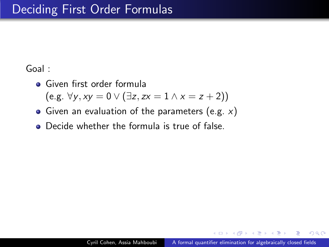#### Goal :

- **•** Given first order formula  $(e.g. \forall y, xy = 0 \vee (\exists z, zx = 1 \wedge x = z + 2))$
- Given an evaluation of the parameters (e.g.  $x$ )
- **•** Decide whether the formula is true of false.

伊 ▶ ヨ ヨ ▶

 $\Omega$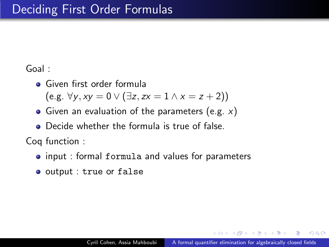#### Goal :

**•** Given first order formula

 $(e.g. ∀y, xy = 0 ∨ (∃z, zx = 1 ∧ x = z + 2))$ 

- Given an evaluation of the parameters (e.g.  $x$ )
- **•** Decide whether the formula is true of false.

Coq function :

- **input : formal formula and values for parameters**
- output : true or false

舟 ▶ イヨ ▶ イヨ ▶

 $\Omega$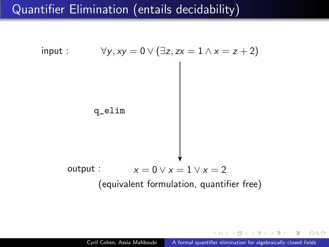## Quantifier Elimination (entails decidability)



 $2990$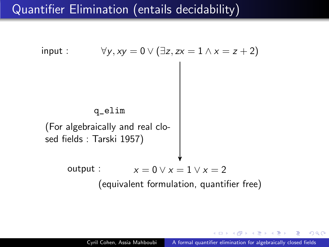## Quantifier Elimination (entails decidability)



つくへ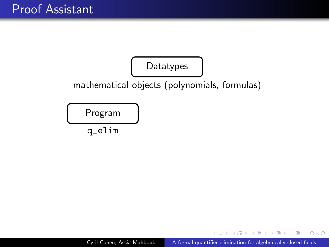

4 17 18

- 何 ▶ → 手 ▶ → 手 ▶

 $299$ 

∍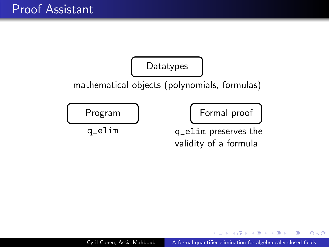

4 17 18

 $\langle \bigcap \mathbb{P} \rangle$   $\rightarrow$   $\langle \bigcap \mathbb{P} \rangle$   $\rightarrow$   $\langle \bigcap \mathbb{P} \rangle$ 

 $299$ 

∍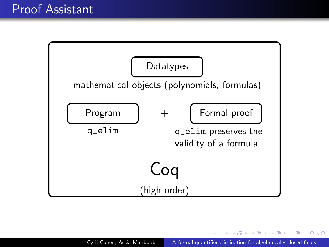

4 17 18

 $\left\{ \left\vert \left\langle \left\langle \left\langle \mathbf{q} \right\rangle \right\rangle \right\rangle \right\vert \left\langle \mathbf{q} \right\rangle \right\vert \left\langle \mathbf{q} \right\rangle \right\vert \left\langle \mathbf{q} \right\rangle \right\vert \left\langle \mathbf{q} \right\rangle \right\vert \left\langle \mathbf{q} \right\rangle \left\langle \mathbf{q} \right\rangle \right\vert$ 

 $299$ 

э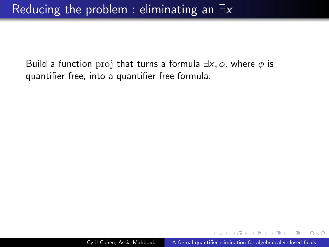Build a function proj that turns a formula  $\exists x, \phi$ , where  $\phi$  is quantifier free, into a quantifier free formula.

 $QQ$ 

御 ▶ イヨ ▶ イヨ ▶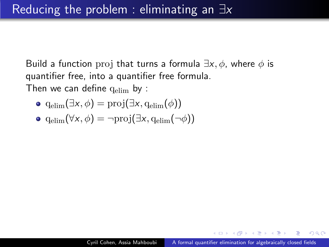Build a function proj that turns a formula  $\exists x, \phi$ , where  $\phi$  is quantifier free, into a quantifier free formula. Then we can define  $q_{elim}$  by :

$$
\bullet \ \mathrm{q_{elim}}(\exists x, \phi) = \mathrm{proj}(\exists x, \mathrm{q_{elim}}(\phi))
$$

$$
\bullet \ \mathrm{q_{elim}}(\forall x, \phi) = \neg \mathrm{proj}(\exists x, \mathrm{q_{elim}}(\neg \phi))
$$

舟 ▶ イヨ ▶ イヨ ▶

 $\Omega$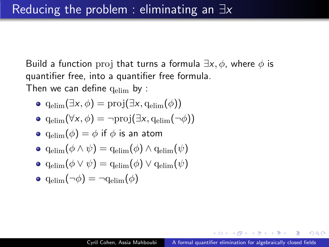Build a function proj that turns a formula  $\exists x, \phi$ , where  $\phi$  is quantifier free, into a quantifier free formula.

Then we can define  $q_{elim}$  by :

$$
\bullet \ \operatorname{q_{elim}}(\exists x, \phi) = \operatorname{proj}(\exists x, \operatorname{q_{elim}}(\phi))
$$

$$
\bullet \ \mathrm{q_{elim}}(\forall x, \phi) = \neg \mathrm{proj}(\exists x, \mathrm{q_{elim}}(\neg \phi))
$$

• 
$$
q_{\text{elim}}(\phi) = \phi
$$
 if  $\phi$  is an atom

$$
\bullet \ \operatorname{q_{elim}}(\phi \wedge \psi) = \operatorname{q_{elim}}(\phi) \wedge \operatorname{q_{elim}}(\psi)
$$

$$
\bullet\;\operatorname{q_{elim}}(\phi\lor\psi)=\operatorname{q_{elim}}(\phi)\lor\operatorname{q_{elim}}(\psi)
$$

$$
\bullet \ \mathrm{q_{elim}}(\neg \phi) = \neg \mathrm{q_{elim}}(\phi)
$$

舟 ▶ イヨ ▶ イヨ ▶

 $\Omega$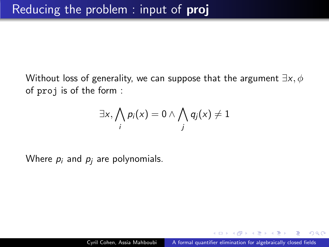Without loss of generality, we can suppose that the argument  $\exists x, \phi$ of proj is of the form :

$$
\exists x, \bigwedge_i p_i(x) = 0 \land \bigwedge_j q_j(x) \neq 1
$$

Where  $p_i$  and  $p_i$  are polynomials.

 $2990$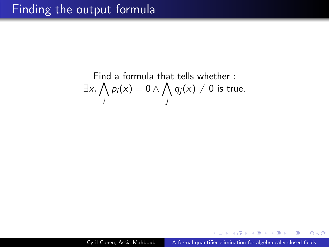Find a formula that tells whether : 
$$
\exists x, \bigwedge_{i} p_i(x) = 0 \land \bigwedge_{j} q_j(x) \neq 0
$$
 is true.

 $\leftarrow$ 

 $\triangleright$   $\rightarrow$   $\exists$   $\triangleright$   $\rightarrow$ 

∍

 $299$ 

∍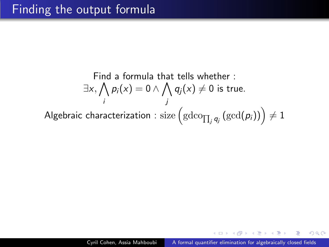Find a formula that tells whether :  
\n
$$
\exists x, \bigwedge_{i} p_{i}(x) = 0 \land \bigwedge_{j} q_{j}(x) \neq 0 \text{ is true.}
$$
\nAlgebraic characterization : size  $(\text{gdco}_{\prod_{j} q_{j}} (\text{gcd}(p_{i}))) \neq 1$ 

 $\leftarrow$ 

 $\triangleright$   $\rightarrow$   $\exists$   $\triangleright$   $\rightarrow$ 

∍

 $299$ 

∍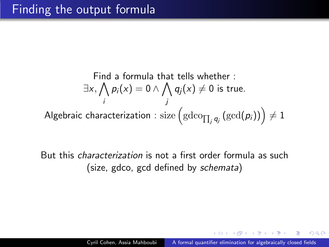Find a formula that tells whether :  
\n
$$
\exists x, \bigwedge_{i} p_{i}(x) = 0 \land \bigwedge_{j} q_{j}(x) \neq 0 \text{ is true.}
$$
\nAlgebraic characterization : size  $\left(\text{gdco}_{\prod_{j} q_{j}}\left(\text{gcd}(p_{i})\right)\right) \neq 1$ 

But this characterization is not a first order formula as such (size, gdco, gcd defined by schemata)

 $2Q$ 

医阿里氏阿里氏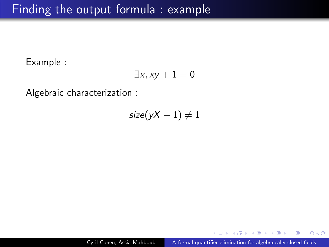Example :

$$
\exists x, xy+1=0
$$

Algebraic characterization :

 $size(yX + 1) \neq 1$ 

 $QQ$ 

∍

 $\triangleright$  and  $\equiv$   $\triangleright$  and  $\equiv$   $\triangleright$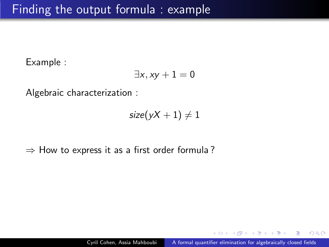Example :

$$
\exists x, xy+1=0
$$

Algebraic characterization :

$$
size(yX + 1) \neq 1
$$

 $\Rightarrow$  How to express it as a first order formula?

 $QQ$ 

÷

 $\lambda$  =  $\lambda$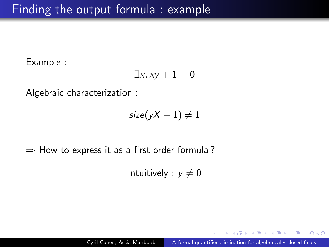Example :

$$
\exists x, xy+1=0
$$

Algebraic characterization :

$$
size(yX + 1) \neq 1
$$

 $\Rightarrow$  How to express it as a first order formula?

Intuitively :  $y \neq 0$ 

 $2990$ 

 $\leftarrow \equiv$   $\rightarrow$ 

 $\lambda$  =  $\lambda$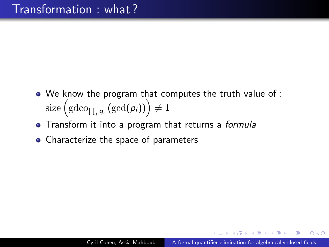- We know the program that computes the truth value of :  $\text{size}\left(\text{gdco}_{\prod_i q_i}\left(\text{gcd}(\pmb{\rho}_i)\right)\right)\neq 1$
- Transform it into a program that returns a formula
- Characterize the space of parameters

つくへ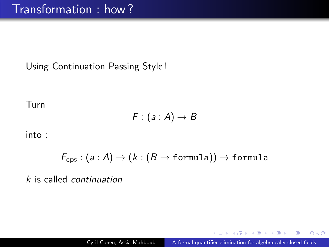Using Continuation Passing Style !

Turn

$$
F:(a:A)\rightarrow B
$$

into :

$$
\mathit{F}_\mathrm{cps} : (\mathit{a} : \mathit{A}) \rightarrow (\mathit{k} : (\mathit{B} \rightarrow \texttt{formula})) \rightarrow \texttt{formula}
$$

k is called continuation

 $299$ 

**何 ▶ ( 三 ) ( 三 )**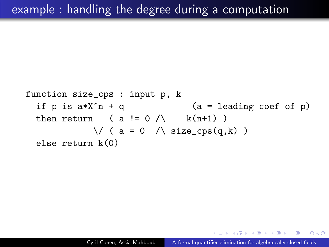function size\_cps : input p, k  
if p is 
$$
a*X^n + q
$$
 (a = leading coef of p)  
then return ( a != 0 / \ k(n+1))  
 $\lor$  ( a = 0 / \ size\_cps(q,k))  
else return k(0)

つくへ

イヨメ イヨメ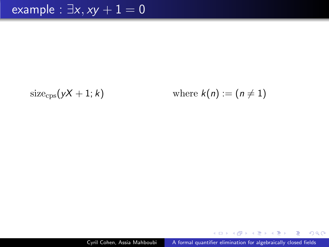$$
size_{\rm{cps}}(yX + 1; k)
$$

size<sub>cps</sub>
$$
(yX + 1; k)
$$
 where  $k(n) := (n \neq 1)$ 

Cyril Cohen, Assia Mahboubi | [A formal quantifier elimination for algebraically closed fields](#page-0-0)

メロトメ 御 トメ 君 トメ 君 ト

 $299$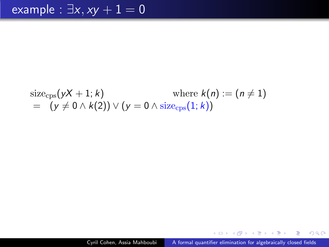size<sub>cps</sub>
$$
(yX + 1; k)
$$
 where  $k(n) := (n \neq 1)$   
=  $(y \neq 0 \land k(2)) \lor (y = 0 \land size_{cps}(1; k))$ 

 $299$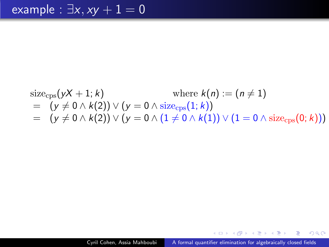size<sub>cps</sub>
$$
(yX + 1; k)
$$
 where  $k(n) := (n \neq 1)$   
=  $(y \neq 0 \land k(2)) \lor (y = 0 \land size_{\text{cps}}(1; k))$   
=  $(y \neq 0 \land k(2)) \lor (y = 0 \land (1 \neq 0 \land k(1)) \lor (1 = 0 \land size_{\text{cps}}(0; k)))$ 

 $299$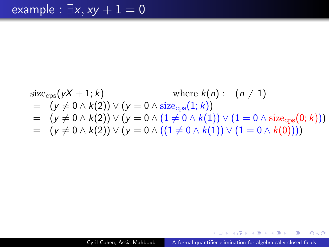size<sub>cps</sub>
$$
(yX + 1; k)
$$
 where  $k(n) := (n \neq 1)$   
\n
$$
= (y \neq 0 \land k(2)) \lor (y = 0 \land size_{cps}(1; k))
$$
\n
$$
= (y \neq 0 \land k(2)) \lor (y = 0 \land (1 \neq 0 \land k(1)) \lor (1 = 0 \land size_{cps}(0; k)))
$$
\n
$$
= (y \neq 0 \land k(2)) \lor (y = 0 \land ((1 \neq 0 \land k(1)) \lor (1 = 0 \land k(0))))
$$

 $299$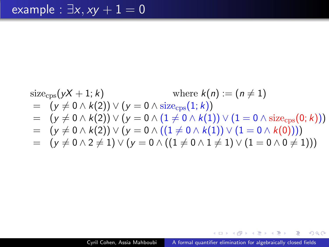size<sub>cps</sub>(
$$
yX + 1; k
$$
) where  $k(n) := (n \neq 1)$   
\n
$$
= (y \neq 0 \land k(2)) \lor (y = 0 \land size_{cps}(1; k))
$$
\n
$$
= (y \neq 0 \land k(2)) \lor (y = 0 \land (1 \neq 0 \land k(1)) \lor (1 = 0 \land size_{cps}(0; k)))
$$
\n
$$
= (y \neq 0 \land k(2)) \lor (y = 0 \land ((1 \neq 0 \land k(1)) \lor (1 = 0 \land k(0))))
$$
\n
$$
= (y \neq 0 \land 2 \neq 1) \lor (y = 0 \land ((1 \neq 0 \land 1 \neq 1) \lor (1 = 0 \land 0 \neq 1)))
$$

 $299$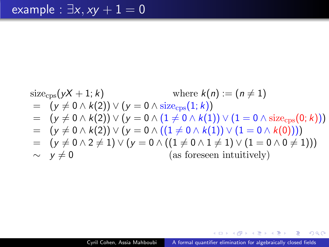size<sub>cps</sub>(
$$
yX + 1; k
$$
) where  $k(n) := (n \neq 1)$   
\n
$$
= (y \neq 0 \land k(2)) \lor (y = 0 \land size_{cps}(1; k))
$$
\n
$$
= (y \neq 0 \land k(2)) \lor (y = 0 \land (1 \neq 0 \land k(1)) \lor (1 = 0 \land size_{cps}(0; k)))
$$
\n
$$
= (y \neq 0 \land k(2)) \lor (y = 0 \land ((1 \neq 0 \land k(1)) \lor (1 = 0 \land k(0))))
$$
\n
$$
= (y \neq 0 \land 2 \neq 1) \lor (y = 0 \land ((1 \neq 0 \land 1 \neq 1) \lor (1 = 0 \land 0 \neq 1)))
$$
\n
$$
\sim y \neq 0
$$
\n(as foreseen intuitively)

 $299$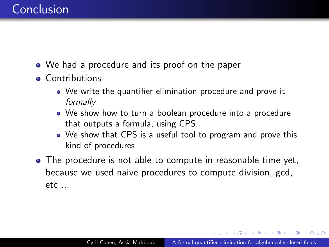## Conclusion

- We had a procedure and its proof on the paper
- **•** Contributions
	- We write the quantifier elimination procedure and prove it formally
	- We show how to turn a boolean procedure into a procedure that outputs a formula, using CPS.
	- We show that CPS is a useful tool to program and prove this kind of procedures
- The procedure is not able to compute in reasonable time yet, because we used naive procedures to compute division, gcd,  $etc...$

 $\langle \bigcap \mathbb{P} \rangle$   $\rightarrow$   $\langle \bigcap \mathbb{P} \rangle$   $\rightarrow$   $\langle \bigcap \mathbb{P} \rangle$ 

 $\Omega$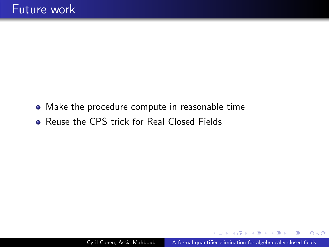- Make the procedure compute in reasonable time
- Reuse the CPS trick for Real Closed Fields

医间周的

 $\equiv$ 

 $2Q$